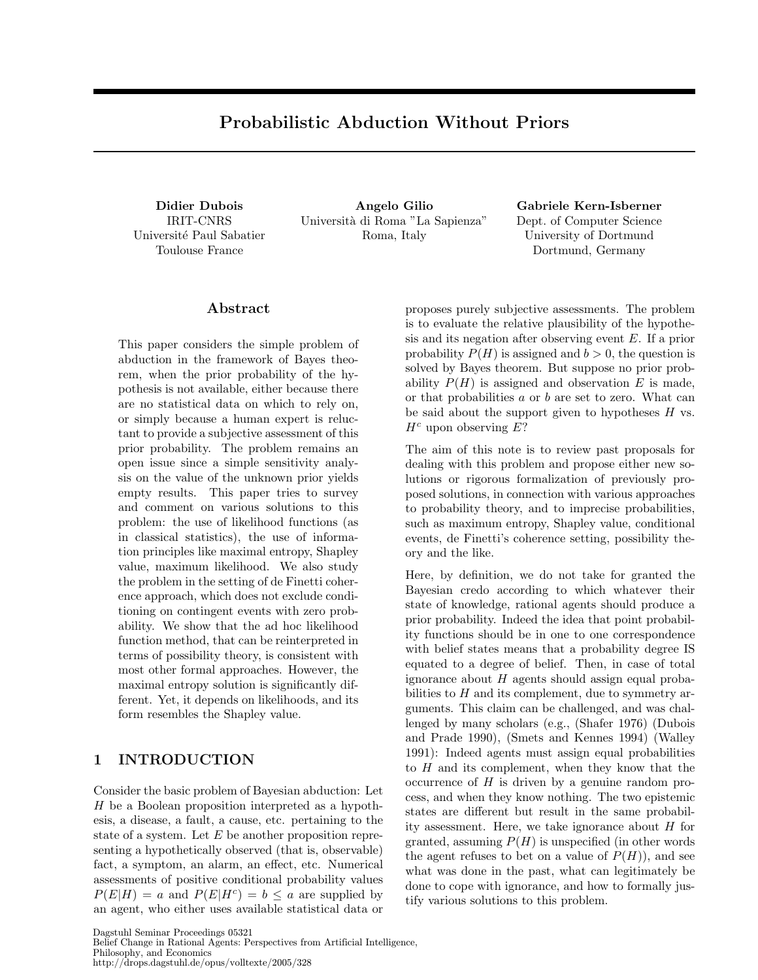# Probabilistic Abduction Without Priors

Didier Dubois IRIT-CNRS Université Paul Sabatier Toulouse France

Angelo Gilio Universit`a di Roma "La Sapienza" Roma, Italy

Gabriele Kern-Isberner Dept. of Computer Science University of Dortmund Dortmund, Germany

## Abstract

This paper considers the simple problem of abduction in the framework of Bayes theorem, when the prior probability of the hypothesis is not available, either because there are no statistical data on which to rely on, or simply because a human expert is reluctant to provide a subjective assessment of this prior probability. The problem remains an open issue since a simple sensitivity analysis on the value of the unknown prior yields empty results. This paper tries to survey and comment on various solutions to this problem: the use of likelihood functions (as in classical statistics), the use of information principles like maximal entropy, Shapley value, maximum likelihood. We also study the problem in the setting of de Finetti coherence approach, which does not exclude conditioning on contingent events with zero probability. We show that the ad hoc likelihood function method, that can be reinterpreted in terms of possibility theory, is consistent with most other formal approaches. However, the maximal entropy solution is significantly different. Yet, it depends on likelihoods, and its form resembles the Shapley value.

## 1 INTRODUCTION

Consider the basic problem of Bayesian abduction: Let H be a Boolean proposition interpreted as a hypothesis, a disease, a fault, a cause, etc. pertaining to the state of a system. Let  $E$  be another proposition representing a hypothetically observed (that is, observable) fact, a symptom, an alarm, an effect, etc. Numerical assessments of positive conditional probability values  $P(E|H) = a$  and  $P(E|H^c) = b \le a$  are supplied by an agent, who either uses available statistical data or

proposes purely subjective assessments. The problem is to evaluate the relative plausibility of the hypothesis and its negation after observing event E. If a prior probability  $P(H)$  is assigned and  $b > 0$ , the question is solved by Bayes theorem. But suppose no prior probability  $P(H)$  is assigned and observation E is made, or that probabilities a or b are set to zero. What can be said about the support given to hypotheses  $H$  vs.  $H<sup>c</sup>$  upon observing E?

The aim of this note is to review past proposals for dealing with this problem and propose either new solutions or rigorous formalization of previously proposed solutions, in connection with various approaches to probability theory, and to imprecise probabilities, such as maximum entropy, Shapley value, conditional events, de Finetti's coherence setting, possibility theory and the like.

Here, by definition, we do not take for granted the Bayesian credo according to which whatever their state of knowledge, rational agents should produce a prior probability. Indeed the idea that point probability functions should be in one to one correspondence with belief states means that a probability degree IS equated to a degree of belief. Then, in case of total ignorance about  $H$  agents should assign equal probabilities to  $H$  and its complement, due to symmetry arguments. This claim can be challenged, and was challenged by many scholars (e.g., (Shafer 1976) (Dubois and Prade 1990), (Smets and Kennes 1994) (Walley 1991): Indeed agents must assign equal probabilities to  $H$  and its complement, when they know that the occurrence of  $H$  is driven by a genuine random process, and when they know nothing. The two epistemic states are different but result in the same probability assessment. Here, we take ignorance about H for granted, assuming  $P(H)$  is unspecified (in other words the agent refuses to bet on a value of  $P(H)$ , and see what was done in the past, what can legitimately be done to cope with ignorance, and how to formally justify various solutions to this problem.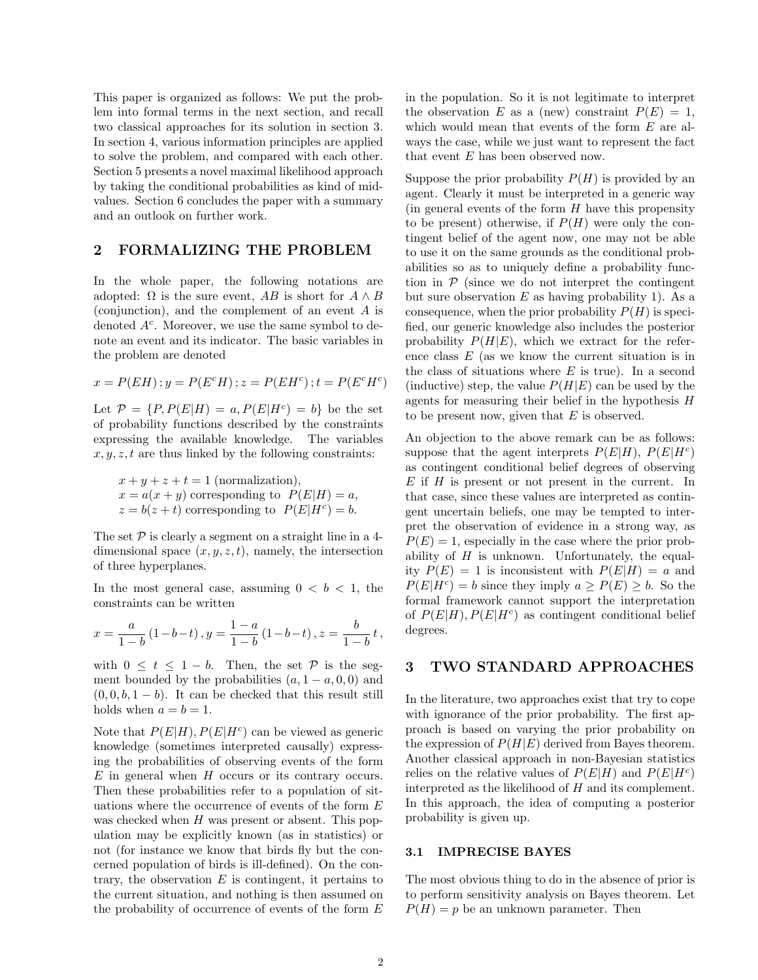This paper is organized as follows: We put the problem into formal terms in the next section, and recall two classical approaches for its solution in section 3. In section 4, various information principles are applied to solve the problem, and compared with each other. Section 5 presents a novel maximal likelihood approach by taking the conditional probabilities as kind of midvalues. Section 6 concludes the paper with a summary and an outlook on further work.

### 2 FORMALIZING THE PROBLEM

In the whole paper, the following notations are adopted:  $\Omega$  is the sure event, AB is short for  $A \wedge B$ (conjunction), and the complement of an event A is denoted  $A<sup>c</sup>$ . Moreover, we use the same symbol to denote an event and its indicator. The basic variables in the problem are denoted

$$
x = P(EH); y = P(E^cH); z = P(EH^c); t = P(E^cH^c)
$$

Let  $\mathcal{P} = \{P, P(E|H) = a, P(E|H^c) = b\}$  be the set of probability functions described by the constraints expressing the available knowledge. The variables  $x, y, z, t$  are thus linked by the following constraints:

 $x + y + z + t = 1$  (normalization),  $x = a(x + y)$  corresponding to  $P(E|H) = a$ ,  $z = b(z + t)$  corresponding to  $P(E|H^c) = b$ .

The set  $P$  is clearly a segment on a straight line in a 4dimensional space  $(x, y, z, t)$ , namely, the intersection of three hyperplanes.

In the most general case, assuming  $0 < b < 1$ , the constraints can be written

$$
x = \frac{a}{1-b} (1-b-t), y = \frac{1-a}{1-b} (1-b-t), z = \frac{b}{1-b} t,
$$

with  $0 \leq t \leq 1-b$ . Then, the set P is the segment bounded by the probabilities  $(a, 1 - a, 0, 0)$  and  $(0, 0, b, 1 - b)$ . It can be checked that this result still holds when  $a = b = 1$ .

Note that  $P(E|H)$ ,  $P(E|H<sup>c</sup>)$  can be viewed as generic knowledge (sometimes interpreted causally) expressing the probabilities of observing events of the form  $E$  in general when  $H$  occurs or its contrary occurs. Then these probabilities refer to a population of situations where the occurrence of events of the form E was checked when H was present or absent. This population may be explicitly known (as in statistics) or not (for instance we know that birds fly but the concerned population of birds is ill-defined). On the contrary, the observation  $E$  is contingent, it pertains to the current situation, and nothing is then assumed on the probability of occurrence of events of the form  $E$  in the population. So it is not legitimate to interpret the observation E as a (new) constraint  $P(E) = 1$ , which would mean that events of the form E are always the case, while we just want to represent the fact that event E has been observed now.

Suppose the prior probability  $P(H)$  is provided by an agent. Clearly it must be interpreted in a generic way  $\pi$  (in general events of the form H have this propensity to be present) otherwise, if  $P(H)$  were only the contingent belief of the agent now, one may not be able to use it on the same grounds as the conditional probabilities so as to uniquely define a probability function in  $P$  (since we do not interpret the contingent but sure observation  $E$  as having probability 1). As a consequence, when the prior probability  $P(H)$  is specified, our generic knowledge also includes the posterior probability  $P(H|E)$ , which we extract for the reference class  $E$  (as we know the current situation is in the class of situations where  $E$  is true). In a second (inductive) step, the value  $P(H|E)$  can be used by the agents for measuring their belief in the hypothesis H to be present now, given that  $E$  is observed.

An objection to the above remark can be as follows: suppose that the agent interprets  $P(E|H)$ ,  $P(E|H<sup>c</sup>)$ as contingent conditional belief degrees of observing  $E$  if  $H$  is present or not present in the current. In that case, since these values are interpreted as contingent uncertain beliefs, one may be tempted to interpret the observation of evidence in a strong way, as  $P(E) = 1$ , especially in the case where the prior probability of  $H$  is unknown. Unfortunately, the equality  $P(E) = 1$  is inconsistent with  $P(E|H) = a$  and  $P(E|H^c) = b$  since they imply  $a \ge P(E) \ge b$ . So the formal framework cannot support the interpretation of  $P(E|H)$ ,  $P(E|H<sup>c</sup>)$  as contingent conditional belief degrees.

## 3 TWO STANDARD APPROACHES

In the literature, two approaches exist that try to cope with ignorance of the prior probability. The first approach is based on varying the prior probability on the expression of  $P(H|E)$  derived from Bayes theorem. Another classical approach in non-Bayesian statistics relies on the relative values of  $P(E|H)$  and  $P(E|H<sup>c</sup>)$ interpreted as the likelihood of H and its complement. In this approach, the idea of computing a posterior probability is given up.

#### 3.1 IMPRECISE BAYES

The most obvious thing to do in the absence of prior is to perform sensitivity analysis on Bayes theorem. Let  $P(H) = p$  be an unknown parameter. Then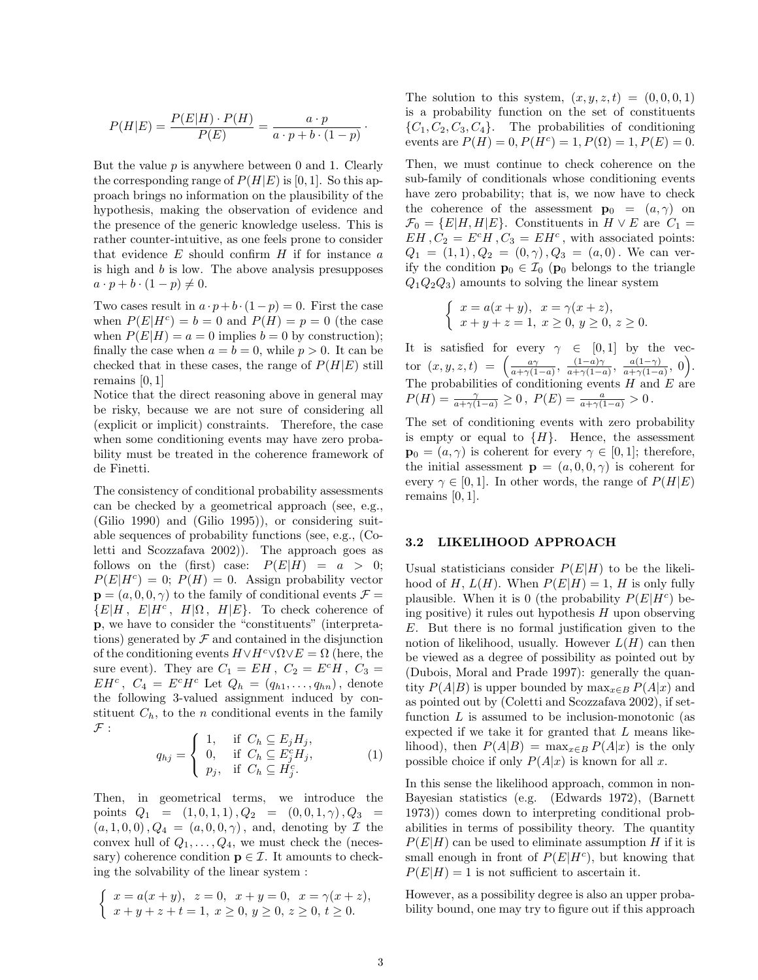$$
P(H|E) = \frac{P(E|H) \cdot P(H)}{P(E)} = \frac{a \cdot p}{a \cdot p + b \cdot (1 - p)}.
$$

But the value  $p$  is anywhere between 0 and 1. Clearly the corresponding range of  $P(H|E)$  is [0, 1]. So this approach brings no information on the plausibility of the hypothesis, making the observation of evidence and the presence of the generic knowledge useless. This is rather counter-intuitive, as one feels prone to consider that evidence  $E$  should confirm  $H$  if for instance  $a$ is high and b is low. The above analysis presupposes  $a \cdot p + b \cdot (1-p) \neq 0.$ 

Two cases result in  $a \cdot p + b \cdot (1-p) = 0$ . First the case when  $P(E|H^c) = b = 0$  and  $P(H) = p = 0$  (the case when  $P(E|H) = a = 0$  implies  $b = 0$  by construction); finally the case when  $a = b = 0$ , while  $p > 0$ . It can be checked that in these cases, the range of  $P(H|E)$  still remains [0, 1]

Notice that the direct reasoning above in general may be risky, because we are not sure of considering all (explicit or implicit) constraints. Therefore, the case when some conditioning events may have zero probability must be treated in the coherence framework of de Finetti.

The consistency of conditional probability assessments can be checked by a geometrical approach (see, e.g., (Gilio 1990) and (Gilio 1995)), or considering suitable sequences of probability functions (see, e.g., (Coletti and Scozzafava 2002)). The approach goes as follows on the (first) case:  $P(E|H) = a > 0;$  $P(E|H^c) = 0$ ;  $P(H) = 0$ . Assign probability vector  $\mathbf{p} = (a, 0, 0, \gamma)$  to the family of conditional events  $\mathcal{F} =$  $\{E|H, E|H^c, H|\Omega, H|E\}.$  To check coherence of p, we have to consider the "constituents" (interpretations) generated by  $\mathcal F$  and contained in the disjunction of the conditioning events  $H \vee H^c \vee \Omega \vee E = \Omega$  (here, the sure event). They are  $C_1 = EH$ ,  $C_2 = E^cH$ ,  $C_3 =$  $EH^c$ ,  $C_4 = E^c H^c$  Let  $Q_h = (q_{h1}, \ldots, q_{hn})$ , denote the following 3-valued assignment induced by constituent  $C_h$ , to the n conditional events in the family  ${\mathcal F}$  :

$$
q_{hj} = \begin{cases} 1, & \text{if } C_h \subseteq E_j H_j, \\ 0, & \text{if } C_h \subseteq E_j^c H_j, \\ p_j, & \text{if } C_h \subseteq H_j^c. \end{cases}
$$
 (1)

Then, in geometrical terms, we introduce the points  $Q_1 = (1, 0, 1, 1), Q_2 = (0, 0, 1, \gamma), Q_3 =$  $(a, 1, 0, 0), Q_4 = (a, 0, 0, \gamma)$ , and, denoting by  $\mathcal I$  the convex hull of  $Q_1, \ldots, Q_4$ , we must check the (necessary) coherence condition  $\mathbf{p} \in \mathcal{I}$ . It amounts to checking the solvability of the linear system :

$$
\begin{cases}\nx = a(x+y), \ z = 0, \ x+y = 0, \ x = \gamma(x+z), \\
x+y+z+t = 1, \ x \ge 0, \ y \ge 0, \ z \ge 0, \ t \ge 0.\n\end{cases}
$$

The solution to this system,  $(x, y, z, t) = (0, 0, 0, 1)$ is a probability function on the set of constituents  $\{C_1, C_2, C_3, C_4\}.$  The probabilities of conditioning events are  $P(H) = 0, P(H<sup>c</sup>) = 1, P(\Omega) = 1, P(E) = 0.$ 

Then, we must continue to check coherence on the sub-family of conditionals whose conditioning events have zero probability; that is, we now have to check the coherence of the assessment  $\mathbf{p}_0 = (a, \gamma)$  on  $\mathcal{F}_0 = \{E|H,H|E\}$ . Constituents in  $H \vee E$  are  $C_1 =$  $EH, C_2 = E^c H, C_3 = EH^c$ , with associated points:  $Q_1 = (1, 1), Q_2 = (0, \gamma), Q_3 = (a, 0)$ . We can verify the condition  $\mathbf{p}_0 \in \mathcal{I}_0$  ( $\mathbf{p}_0$  belongs to the triangle  $Q_1Q_2Q_3$  amounts to solving the linear system

$$
\begin{cases}\nx = a(x + y), & x = \gamma(x + z), \\
x + y + z = 1, & x \ge 0, y \ge 0, z \ge 0.\n\end{cases}
$$

It is satisfied for every  $\gamma \in [0,1]$  by the vector  $(x, y, z, t) = \left( \frac{a\gamma}{a + \gamma(1-a)}, \frac{(1-a)\gamma}{a + \gamma(1-a)} \right)$  $\frac{(1-a)\gamma}{a+\gamma(1-a)}, \frac{a(1-\gamma)}{a+\gamma(1-a)}$  $\frac{a(1-\gamma)}{a+\gamma(1-a)}, 0$ . The probabilities of conditioning events  $H$  and  $E$  are  $P(H) = \frac{\gamma}{a + \gamma(1 - a)} \ge 0$ ,  $P(E) = \frac{a}{a + \gamma(1 - a)} > 0$ .

The set of conditioning events with zero probability is empty or equal to  $\{H\}$ . Hence, the assessment  $\mathbf{p}_0 = (a, \gamma)$  is coherent for every  $\gamma \in [0, 1]$ ; therefore, the initial assessment  $\mathbf{p} = (a, 0, 0, \gamma)$  is coherent for every  $\gamma \in [0, 1]$ . In other words, the range of  $P(H|E)$ remains  $[0, 1]$ .

#### 3.2 LIKELIHOOD APPROACH

Usual statisticians consider  $P(E|H)$  to be the likelihood of H,  $L(H)$ . When  $P(E|H) = 1$ , H is only fully plausible. When it is 0 (the probability  $P(E|H<sup>c</sup>)$  being positive) it rules out hypothesis  $H$  upon observing E. But there is no formal justification given to the notion of likelihood, usually. However  $L(H)$  can then be viewed as a degree of possibility as pointed out by (Dubois, Moral and Prade 1997): generally the quantity  $P(A|B)$  is upper bounded by  $\max_{x \in B} P(A|x)$  and as pointed out by (Coletti and Scozzafava 2002), if setfunction  $L$  is assumed to be inclusion-monotonic (as expected if we take it for granted that L means likelihood), then  $P(A|B) = \max_{x \in B} P(A|x)$  is the only possible choice if only  $P(A|x)$  is known for all x.

In this sense the likelihood approach, common in non-Bayesian statistics (e.g. (Edwards 1972), (Barnett 1973)) comes down to interpreting conditional probabilities in terms of possibility theory. The quantity  $P(E|H)$  can be used to eliminate assumption H if it is small enough in front of  $P(E|H^c)$ , but knowing that  $P(E|H) = 1$  is not sufficient to ascertain it.

However, as a possibility degree is also an upper probability bound, one may try to figure out if this approach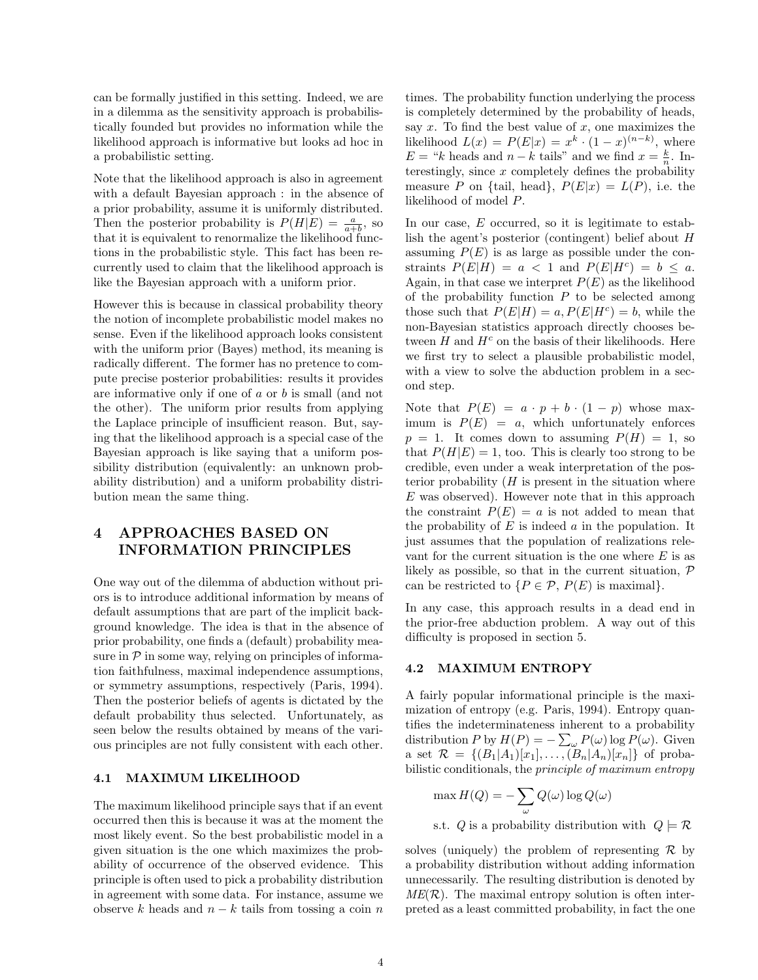can be formally justified in this setting. Indeed, we are in a dilemma as the sensitivity approach is probabilistically founded but provides no information while the likelihood approach is informative but looks ad hoc in a probabilistic setting.

Note that the likelihood approach is also in agreement with a default Bayesian approach : in the absence of a prior probability, assume it is uniformly distributed. Then the posterior probability is  $P(H|E) = \frac{a}{a+b}$ , so that it is equivalent to renormalize the likelihood functions in the probabilistic style. This fact has been recurrently used to claim that the likelihood approach is like the Bayesian approach with a uniform prior.

However this is because in classical probability theory the notion of incomplete probabilistic model makes no sense. Even if the likelihood approach looks consistent with the uniform prior (Bayes) method, its meaning is radically different. The former has no pretence to compute precise posterior probabilities: results it provides are informative only if one of a or b is small (and not the other). The uniform prior results from applying the Laplace principle of insufficient reason. But, saying that the likelihood approach is a special case of the Bayesian approach is like saying that a uniform possibility distribution (equivalently: an unknown probability distribution) and a uniform probability distribution mean the same thing.

## 4 APPROACHES BASED ON INFORMATION PRINCIPLES

One way out of the dilemma of abduction without priors is to introduce additional information by means of default assumptions that are part of the implicit background knowledge. The idea is that in the absence of prior probability, one finds a (default) probability measure in  $\mathcal P$  in some way, relying on principles of information faithfulness, maximal independence assumptions, or symmetry assumptions, respectively (Paris, 1994). Then the posterior beliefs of agents is dictated by the default probability thus selected. Unfortunately, as seen below the results obtained by means of the various principles are not fully consistent with each other.

#### 4.1 MAXIMUM LIKELIHOOD

The maximum likelihood principle says that if an event occurred then this is because it was at the moment the most likely event. So the best probabilistic model in a given situation is the one which maximizes the probability of occurrence of the observed evidence. This principle is often used to pick a probability distribution in agreement with some data. For instance, assume we observe k heads and  $n - k$  tails from tossing a coin n

times. The probability function underlying the process is completely determined by the probability of heads, say  $x$ . To find the best value of  $x$ , one maximizes the likelihood  $L(x) = P(E|x) = x^k \cdot (1-x)^{(n-k)}$ , where  $E = "k$  heads and  $n - k$  tails" and we find  $x = \frac{k}{n}$ . Interestingly, since  $x$  completely defines the probability measure P on {tail, head},  $P(E|x) = L(P)$ , i.e. the likelihood of model P.

In our case,  $E$  occurred, so it is legitimate to establish the agent's posterior (contingent) belief about H assuming  $P(E)$  is as large as possible under the constraints  $P(E|H) = a < 1$  and  $P(E|H^c) = b \leq a$ . Again, in that case we interpret  $P(E)$  as the likelihood of the probability function  $P$  to be selected among those such that  $P(E|H) = a, P(E|H^c) = b$ , while the non-Bayesian statistics approach directly chooses between  $H$  and  $H<sup>c</sup>$  on the basis of their likelihoods. Here we first try to select a plausible probabilistic model, with a view to solve the abduction problem in a second step.

Note that  $P(E) = a \cdot p + b \cdot (1 - p)$  whose maximum is  $P(E) = a$ , which unfortunately enforces  $p = 1$ . It comes down to assuming  $P(H) = 1$ , so that  $P(H|E) = 1$ , too. This is clearly too strong to be credible, even under a weak interpretation of the posterior probability  $(H$  is present in the situation where E was observed). However note that in this approach the constraint  $P(E) = a$  is not added to mean that the probability of  $E$  is indeed  $a$  in the population. It just assumes that the population of realizations relevant for the current situation is the one where  $E$  is as likely as possible, so that in the current situation,  $P$ can be restricted to  $\{P \in \mathcal{P}, P(E) \text{ is maximal}\}.$ 

In any case, this approach results in a dead end in the prior-free abduction problem. A way out of this difficulty is proposed in section 5.

#### 4.2 MAXIMUM ENTROPY

A fairly popular informational principle is the maximization of entropy (e.g. Paris, 1994). Entropy quantifies the indeterminateness inherent to a probability distribution P by  $H(P) = -\sum_{\omega} P(\omega) \log P(\omega)$ . Given a set  $\mathcal{R} = \{(B_1|A_1)[x_1], \ldots, (B_n|A_n)[x_n]\}\$  of probabilistic conditionals, the principle of maximum entropy

$$
\max_{\omega} H(Q) = -\sum_{\omega} Q(\omega) \log Q(\omega)
$$
  
s.t. *Q* is a probability distribution with  $Q \models \mathcal{R}$ 

solves (uniquely) the problem of representing  $\mathcal R$  by a probability distribution without adding information unnecessarily. The resulting distribution is denoted by  $ME(\mathcal{R})$ . The maximal entropy solution is often interpreted as a least committed probability, in fact the one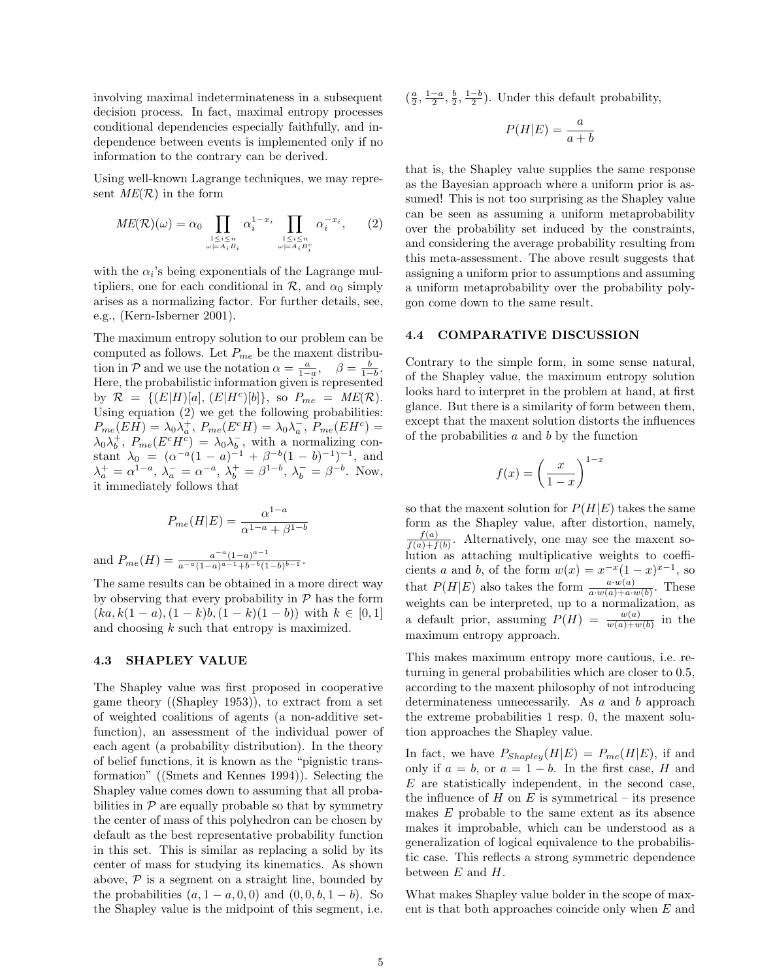involving maximal indeterminateness in a subsequent decision process. In fact, maximal entropy processes conditional dependencies especially faithfully, and independence between events is implemented only if no information to the contrary can be derived.

Using well-known Lagrange techniques, we may represent  $ME(\mathcal{R})$  in the form

$$
ME(\mathcal{R})(\omega) = \alpha_0 \prod_{\substack{1 \le i \le n \\ \omega \models A_i B_i}} \alpha_i^{1-x_i} \prod_{\substack{1 \le i \le n \\ \omega \models A_i B_i^c}} \alpha_i^{-x_i}, \qquad (2)
$$

with the  $\alpha_i$ 's being exponentials of the Lagrange multipliers, one for each conditional in  $\mathcal{R}$ , and  $\alpha_0$  simply arises as a normalizing factor. For further details, see, e.g., (Kern-Isberner 2001).

The maximum entropy solution to our problem can be computed as follows. Let  $P_{me}$  be the maxent distribution in P and we use the notation  $\alpha = \frac{a}{1-a}, \quad \beta = \frac{b}{1-b}.$ Here, the probabilistic information given is represented by  $\mathcal{R} = \{ (E|H)[a], (E|H^c)[b] \}, \text{ so } P_{me} = ME(\mathcal{R}).$ Using equation (2) we get the following probabilities:  $P_{me}(EH) = \lambda_0 \lambda_a^+, P_{me}(E^c H) = \lambda_0 \lambda_a^-, P_{me}(EH^c) =$  $\lambda_0 \lambda_b^+$ ,  $P_{me}(E^c H^c) = \lambda_0 \lambda_b^-$ , with a normalizing constant  $\lambda_0 = (\alpha^{-a}(1-a)^{-1} + \beta^{-b}(1-b)^{-1})^{-1}$ , and  $\lambda_a^+ = \alpha^{1-a}, \lambda_a^- = \alpha^{-a}, \lambda_b^+ = \beta^{1-b}, \lambda_b^- = \beta^{-b}.$  Now, it immediately follows that

$$
P_{me}(H|E) = \frac{\alpha^{1-a}}{\alpha^{1-a} + \beta^{1-b}}
$$

and  $P_{me}(H) = \frac{a^{-a}(1-a)^{a-1}}{a^{-a}(1-a)^{a-1}+b^{-b}(1-a)}$  $\frac{a^{-(1-a)^{-}}}{a^{-a}(1-a)^{a-1}+b^{-b}(1-b)^{b-1}}.$ 

The same results can be obtained in a more direct way by observing that every probability in  $P$  has the form  $(ka, k(1-a), (1-k)b, (1-k)(1-b))$  with  $k \in [0,1]$ and choosing k such that entropy is maximized.

#### 4.3 SHAPLEY VALUE

The Shapley value was first proposed in cooperative game theory ((Shapley 1953)), to extract from a set of weighted coalitions of agents (a non-additive setfunction), an assessment of the individual power of each agent (a probability distribution). In the theory of belief functions, it is known as the "pignistic transformation" ((Smets and Kennes 1994)). Selecting the Shapley value comes down to assuming that all probabilities in  $\mathcal P$  are equally probable so that by symmetry the center of mass of this polyhedron can be chosen by default as the best representative probability function in this set. This is similar as replacing a solid by its center of mass for studying its kinematics. As shown above,  $P$  is a segment on a straight line, bounded by the probabilities  $(a, 1 - a, 0, 0)$  and  $(0, 0, b, 1 - b)$ . So the Shapley value is the midpoint of this segment, i.e.

 $\left(\frac{a}{2}, \frac{1-a}{2}, \frac{b}{2}, \frac{1-b}{2}\right)$ . Under this default probability,

$$
P(H|E) = \frac{a}{a+b}
$$

that is, the Shapley value supplies the same response as the Bayesian approach where a uniform prior is assumed! This is not too surprising as the Shapley value can be seen as assuming a uniform metaprobability over the probability set induced by the constraints, and considering the average probability resulting from this meta-assessment. The above result suggests that assigning a uniform prior to assumptions and assuming a uniform metaprobability over the probability polygon come down to the same result.

#### 4.4 COMPARATIVE DISCUSSION

Contrary to the simple form, in some sense natural, of the Shapley value, the maximum entropy solution looks hard to interpret in the problem at hand, at first glance. But there is a similarity of form between them, except that the maxent solution distorts the influences of the probabilities  $a$  and  $b$  by the function

$$
f(x) = \left(\frac{x}{1-x}\right)^{1-x}
$$

so that the maxent solution for  $P(H|E)$  takes the same form as the Shapley value, after distortion, namely,  $f(a)$  $\frac{J(a)}{f(a)+f(b)}$ . Alternatively, one may see the maxent solution as attaching multiplicative weights to coefficients a and b, of the form  $w(x) = x^{-x}(1-x)^{x-1}$ , so that  $P(H|E)$  also takes the form  $\frac{a \cdot w(a)}{a \cdot w(a) + a \cdot w(b)}$ . These weights can be interpreted, up to a normalization, as a default prior, assuming  $P(H) = \frac{w(a)}{w(a) + w(b)}$  in the maximum entropy approach.

This makes maximum entropy more cautious, i.e. returning in general probabilities which are closer to 0.5, according to the maxent philosophy of not introducing determinateness unnecessarily. As a and b approach the extreme probabilities 1 resp. 0, the maxent solution approaches the Shapley value.

In fact, we have  $P_{Shapley}(H|E) = P_{me}(H|E)$ , if and only if  $a = b$ , or  $a = 1 - b$ . In the first case, H and  $E$  are statistically independent, in the second case, the influence of  $H$  on  $E$  is symmetrical – its presence makes E probable to the same extent as its absence makes it improbable, which can be understood as a generalization of logical equivalence to the probabilistic case. This reflects a strong symmetric dependence between  $E$  and  $H$ .

What makes Shapley value bolder in the scope of maxent is that both approaches coincide only when  $E$  and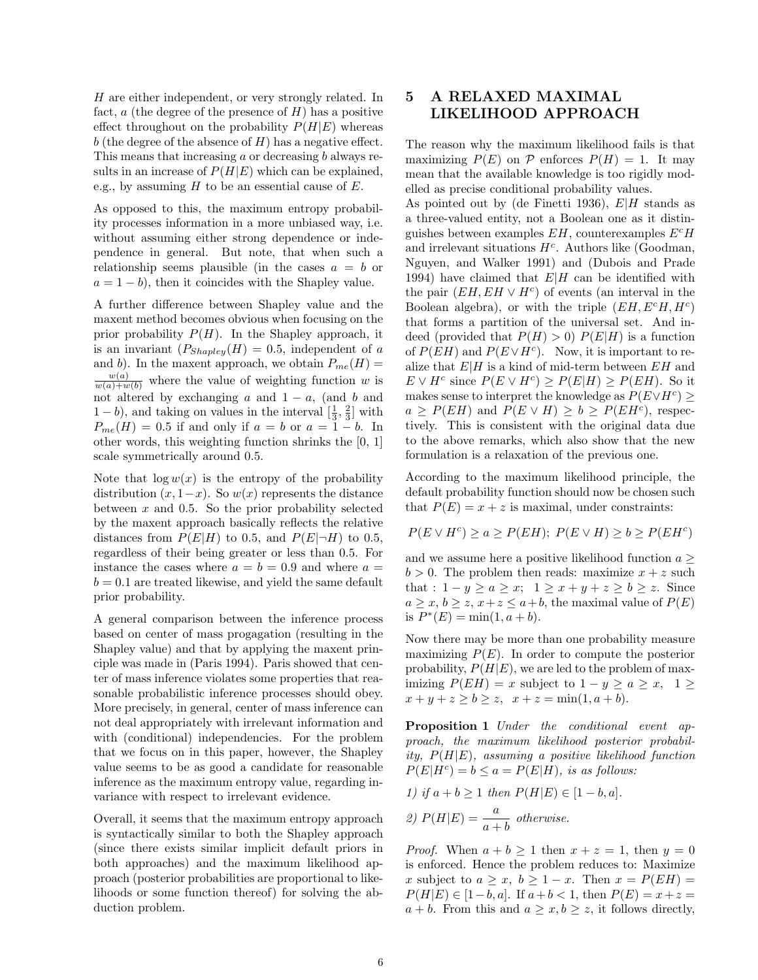H are either independent, or very strongly related. In fact,  $a$  (the degree of the presence of  $H$ ) has a positive effect throughout on the probability  $P(H|E)$  whereas  $b$  (the degree of the absence of  $H$ ) has a negative effect. This means that increasing a or decreasing b always results in an increase of  $P(H|E)$  which can be explained, e.g., by assuming  $H$  to be an essential cause of  $E$ .

As opposed to this, the maximum entropy probability processes information in a more unbiased way, i.e. without assuming either strong dependence or independence in general. But note, that when such a relationship seems plausible (in the cases  $a = b$  or  $a = 1 - b$ , then it coincides with the Shapley value.

A further difference between Shapley value and the maxent method becomes obvious when focusing on the prior probability  $P(H)$ . In the Shapley approach, it is an invariant  $(P_{Shapley}(H) = 0.5$ , independent of a and b). In the maxent approach, we obtain  $P_{me}(H) =$  $\frac{w(a)}{w(a)+w(b)}$  where the value of weighting function w is not altered by exchanging a and  $1 - a$ , (and b and  $1-b$ ), and taking on values in the interval  $\left[\frac{1}{3}, \frac{2}{3}\right]$  with  $P_{me}(H) = 0.5$  if and only if  $a = b$  or  $a = 1 - b$ . In other words, this weighting function shrinks the [0, 1] scale symmetrically around 0.5.

Note that  $\log w(x)$  is the entropy of the probability distribution  $(x, 1-x)$ . So  $w(x)$  represents the distance between  $x$  and 0.5. So the prior probability selected by the maxent approach basically reflects the relative distances from  $P(E|H)$  to 0.5, and  $P(E|\neg H)$  to 0.5, regardless of their being greater or less than 0.5. For instance the cases where  $a = b = 0.9$  and where  $a =$  $b = 0.1$  are treated likewise, and yield the same default prior probability.

A general comparison between the inference process based on center of mass progagation (resulting in the Shapley value) and that by applying the maxent principle was made in (Paris 1994). Paris showed that center of mass inference violates some properties that reasonable probabilistic inference processes should obey. More precisely, in general, center of mass inference can not deal appropriately with irrelevant information and with (conditional) independencies. For the problem that we focus on in this paper, however, the Shapley value seems to be as good a candidate for reasonable inference as the maximum entropy value, regarding invariance with respect to irrelevant evidence.

Overall, it seems that the maximum entropy approach is syntactically similar to both the Shapley approach (since there exists similar implicit default priors in both approaches) and the maximum likelihood approach (posterior probabilities are proportional to likelihoods or some function thereof) for solving the abduction problem.

## 5 A RELAXED MAXIMAL LIKELIHOOD APPROACH

The reason why the maximum likelihood fails is that maximizing  $P(E)$  on P enforces  $P(H) = 1$ . It may mean that the available knowledge is too rigidly modelled as precise conditional probability values.

As pointed out by (de Finetti 1936),  $E|H$  stands as a three-valued entity, not a Boolean one as it distinguishes between examples  $EH$ , counterexamples  $E^cH$ and irrelevant situations  $H<sup>c</sup>$ . Authors like (Goodman, Nguyen, and Walker 1991) and (Dubois and Prade 1994) have claimed that  $E|H$  can be identified with the pair  $(EH, EH \vee H^c)$  of events (an interval in the Boolean algebra), or with the triple  $(EH, E^cH, H^c)$ that forms a partition of the universal set. And indeed (provided that  $P(H) > 0$ )  $P(E|H)$  is a function of  $P(EH)$  and  $P(E \vee H^c)$ . Now, it is important to realize that  $E|H$  is a kind of mid-term between  $EH$  and  $E \vee H^c$  since  $P(E \vee H^c) \ge P(E|H) \ge P(EH)$ . So it makes sense to interpret the knowledge as  $P(E \vee H^c) \ge$  $a \ge P(EH)$  and  $P(E \vee H) \ge b \ge P(EH^c)$ , respectively. This is consistent with the original data due to the above remarks, which also show that the new formulation is a relaxation of the previous one.

According to the maximum likelihood principle, the default probability function should now be chosen such that  $P(E) = x + z$  is maximal, under constraints:

$$
P(E \vee H^c) \ge a \ge P(EH); \ P(E \vee H) \ge b \ge P(EH^c)
$$

and we assume here a positive likelihood function  $a \geq$  $b > 0$ . The problem then reads: maximize  $x + z$  such that :  $1 - y \ge a \ge x$ ;  $1 \ge x + y + z \ge b \ge z$ . Since  $a \geq x, b \geq z, x+z \leq a+b$ , the maximal value of  $P(E)$ is  $P^*(E) = \min(1, a + b)$ .

Now there may be more than one probability measure maximizing  $P(E)$ . In order to compute the posterior probability,  $P(H|E)$ , we are led to the problem of maximizing  $P(EH) = x$  subject to  $1 - y \ge a \ge x$ ,  $1 \ge$  $x + y + z \ge b \ge z$ ,  $x + z = \min(1, a + b)$ .

Proposition 1 Under the conditional event approach, the maximum likelihood posterior probability,  $P(H|E)$ , assuming a positive likelihood function  $P(E|H^c) = b \le a = P(E|H)$ , is as follows:

1) if 
$$
a + b \ge 1
$$
 then  $P(H|E) \in [1 - b, a]$ .  
2)  $P(H|E) = \frac{a}{\cdots}$  otherwise.

2) 
$$
P(H|E) = \frac{a}{a+b}
$$
 otherwise.

*Proof.* When  $a + b \ge 1$  then  $x + z = 1$ , then  $y = 0$ is enforced. Hence the problem reduces to: Maximize x subject to  $a \geq x, b \geq 1-x$ . Then  $x = P(EH) =$  $P(H|E) \in [1-b, a]$ . If  $a+b < 1$ , then  $P(E) = x+z =$  $a + b$ . From this and  $a \geq x, b \geq z$ , it follows directly,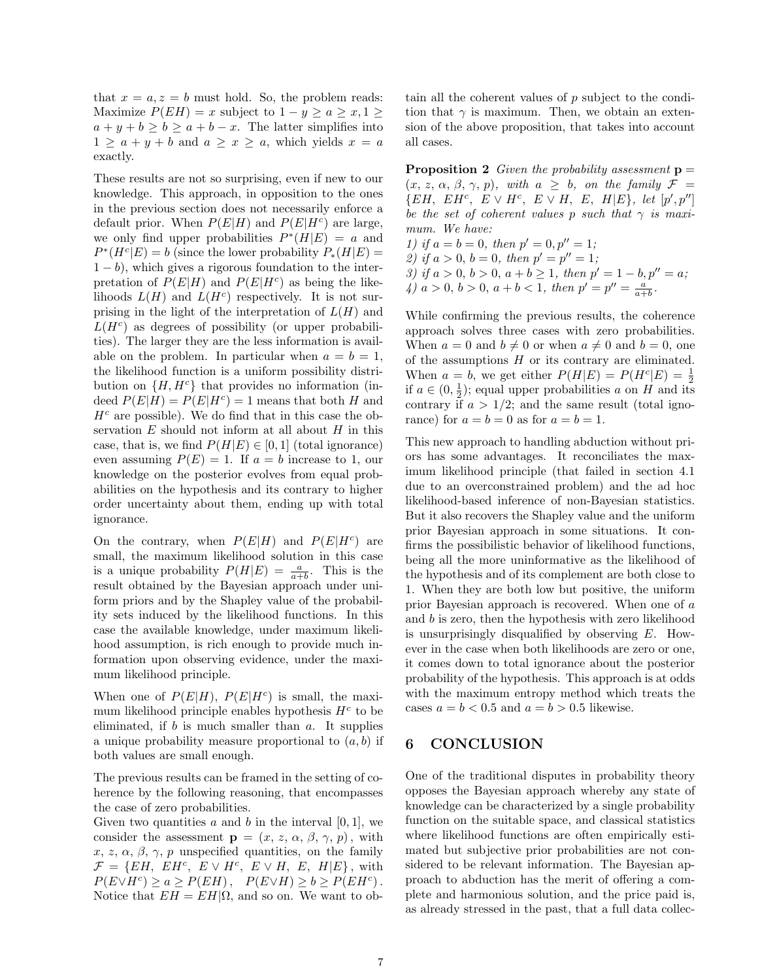that  $x = a, z = b$  must hold. So, the problem reads: Maximize  $P(EH) = x$  subject to  $1 - y \ge a \ge x, 1 \ge$  $a + y + b \ge b \ge a + b - x$ . The latter simplifies into  $1 \geq a + y + b$  and  $a \geq x \geq a$ , which yields  $x = a$ exactly.

These results are not so surprising, even if new to our knowledge. This approach, in opposition to the ones in the previous section does not necessarily enforce a default prior. When  $P(E|H)$  and  $P(E|H^c)$  are large, we only find upper probabilities  $P^*(H|E) = a$  and  $P^*(H^c|E) = b$  (since the lower probability  $P_*(H|E) =$  $1 - b$ , which gives a rigorous foundation to the interpretation of  $P(E|H)$  and  $P(E|H<sup>c</sup>)$  as being the likelihoods  $L(H)$  and  $L(H<sup>c</sup>)$  respectively. It is not surprising in the light of the interpretation of  $L(H)$  and  $L(H<sup>c</sup>)$  as degrees of possibility (or upper probabilities). The larger they are the less information is available on the problem. In particular when  $a = b = 1$ , the likelihood function is a uniform possibility distribution on  $\{H, H^c\}$  that provides no information (indeed  $P(E|H) = P(E|H^c) = 1$  means that both H and  $H<sup>c</sup>$  are possible). We do find that in this case the observation  $E$  should not inform at all about  $H$  in this case, that is, we find  $P(H|E) \in [0,1]$  (total ignorance) even assuming  $P(E) = 1$ . If  $a = b$  increase to 1, our knowledge on the posterior evolves from equal probabilities on the hypothesis and its contrary to higher order uncertainty about them, ending up with total ignorance.

On the contrary, when  $P(E|H)$  and  $P(E|H^c)$  are small, the maximum likelihood solution in this case is a unique probability  $P(H|E) = \frac{a}{a+b}$ . This is the result obtained by the Bayesian approach under uniform priors and by the Shapley value of the probability sets induced by the likelihood functions. In this case the available knowledge, under maximum likelihood assumption, is rich enough to provide much information upon observing evidence, under the maximum likelihood principle.

When one of  $P(E|H)$ ,  $P(E|H<sup>c</sup>)$  is small, the maximum likelihood principle enables hypothesis  $H<sup>c</sup>$  to be eliminated, if  $b$  is much smaller than  $a$ . It supplies a unique probability measure proportional to  $(a, b)$  if both values are small enough.

The previous results can be framed in the setting of coherence by the following reasoning, that encompasses the case of zero probabilities.

Given two quantities a and b in the interval  $[0, 1]$ , we consider the assessment  $\mathbf{p} = (x, z, \alpha, \beta, \gamma, p)$ , with x, z,  $\alpha$ ,  $\beta$ ,  $\gamma$ , p unspecified quantities, on the family  $\mathcal{F} = \{EH, EH^c, E \vee H^c, E \vee H, E, H|E\},\$  with  $P(E \vee H^c) \ge a \ge P(EH)$ ,  $P(E \vee H) \ge b \ge P(EH^c)$ . Notice that  $EH = EH|\Omega$ , and so on. We want to obtain all the coherent values of p subject to the condition that  $\gamma$  is maximum. Then, we obtain an extension of the above proposition, that takes into account all cases.

**Proposition 2** Given the probability assessment  $p =$  $(x, z, \alpha, \beta, \gamma, p)$ , with  $a \geq b$ , on the family  $\mathcal{F} =$  $\{EH, EH^c, E \vee H^c, E \vee H, E, H|E\}, let [p', p'']$ be the set of coherent values p such that  $\gamma$  is maximum. We have:

1) if  $a = b = 0$ , then  $p' = 0$ ,  $p'' = 1$ ; 2) if  $a > 0$ ,  $b = 0$ , then  $p' = p'' = 1$ ; 3) if  $a > 0$ ,  $b > 0$ ,  $a + b \ge 1$ , then  $p' = 1 - b$ ,  $p'' = a$ ; 4)  $a > 0$ ,  $b > 0$ ,  $a + b < 1$ , then  $p' = p'' = \frac{a}{a+b}$ .

While confirming the previous results, the coherence approach solves three cases with zero probabilities. When  $a = 0$  and  $b \neq 0$  or when  $a \neq 0$  and  $b = 0$ , one of the assumptions  $H$  or its contrary are eliminated. When  $a = b$ , we get either  $P(H|E) = P(H^c|E) = \frac{1}{2}$ if  $a \in (0, \frac{1}{2})$ ; equal upper probabilities a on H and its contrary if  $a > 1/2$ ; and the same result (total ignorance) for  $a = b = 0$  as for  $a = b = 1$ .

This new approach to handling abduction without priors has some advantages. It reconciliates the maximum likelihood principle (that failed in section 4.1 due to an overconstrained problem) and the ad hoc likelihood-based inference of non-Bayesian statistics. But it also recovers the Shapley value and the uniform prior Bayesian approach in some situations. It confirms the possibilistic behavior of likelihood functions, being all the more uninformative as the likelihood of the hypothesis and of its complement are both close to 1. When they are both low but positive, the uniform prior Bayesian approach is recovered. When one of a and b is zero, then the hypothesis with zero likelihood is unsurprisingly disqualified by observing  $E$ . However in the case when both likelihoods are zero or one, it comes down to total ignorance about the posterior probability of the hypothesis. This approach is at odds with the maximum entropy method which treats the cases  $a = b < 0.5$  and  $a = b > 0.5$  likewise.

## 6 CONCLUSION

One of the traditional disputes in probability theory opposes the Bayesian approach whereby any state of knowledge can be characterized by a single probability function on the suitable space, and classical statistics where likelihood functions are often empirically estimated but subjective prior probabilities are not considered to be relevant information. The Bayesian approach to abduction has the merit of offering a complete and harmonious solution, and the price paid is, as already stressed in the past, that a full data collec